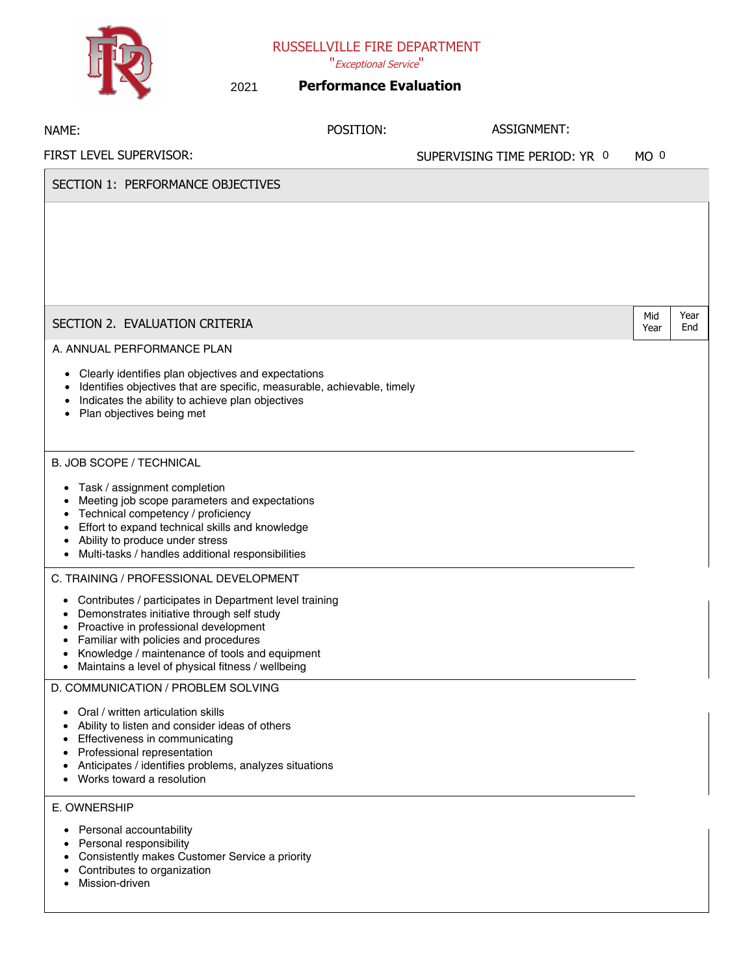RUSSELLVILLE FIRE DEPARTMENT

## "Exceptional Service"

| ₩                                                                                                                                                                                                                                                                                                                                                                                                                                                                                                                                                                                                                               | 2021 | <b>Performance Evaluation</b> |                               |                 |      |
|---------------------------------------------------------------------------------------------------------------------------------------------------------------------------------------------------------------------------------------------------------------------------------------------------------------------------------------------------------------------------------------------------------------------------------------------------------------------------------------------------------------------------------------------------------------------------------------------------------------------------------|------|-------------------------------|-------------------------------|-----------------|------|
| NAME:                                                                                                                                                                                                                                                                                                                                                                                                                                                                                                                                                                                                                           |      | POSITION:                     | ASSIGNMENT:                   |                 |      |
| FIRST LEVEL SUPERVISOR:                                                                                                                                                                                                                                                                                                                                                                                                                                                                                                                                                                                                         |      |                               | SUPERVISING TIME PERIOD: YR 0 | MO <sup>0</sup> |      |
| SECTION 1: PERFORMANCE OBJECTIVES                                                                                                                                                                                                                                                                                                                                                                                                                                                                                                                                                                                               |      |                               |                               |                 |      |
|                                                                                                                                                                                                                                                                                                                                                                                                                                                                                                                                                                                                                                 |      |                               |                               | Mid             | Year |
| SECTION 2. EVALUATION CRITERIA                                                                                                                                                                                                                                                                                                                                                                                                                                                                                                                                                                                                  |      |                               |                               | Year            | End  |
| Clearly identifies plan objectives and expectations<br>Identifies objectives that are specific, measurable, achievable, timely<br>Indicates the ability to achieve plan objectives<br>Plan objectives being met<br><b>B. JOB SCOPE / TECHNICAL</b><br>Task / assignment completion<br>٠<br>Meeting job scope parameters and expectations<br>Technical competency / proficiency<br>Effort to expand technical skills and knowledge<br>Ability to produce under stress<br>Multi-tasks / handles additional responsibilities<br>$\bullet$                                                                                          |      |                               |                               |                 |      |
| C. TRAINING / PROFESSIONAL DEVELOPMENT<br>Contributes / participates in Department level training<br>$\bullet$<br>Demonstrates initiative through self study<br>$\bullet$<br>Proactive in professional development<br>Familiar with policies and procedures<br>Knowledge / maintenance of tools and equipment<br>$\bullet$<br>Maintains a level of physical fitness / wellbeing<br>٠<br>D. COMMUNICATION / PROBLEM SOLVING<br>Oral / written articulation skills<br>$\bullet$<br>Ability to listen and consider ideas of others<br>$\bullet$<br>Effectiveness in communicating<br>٠<br>Professional representation<br>$\bullet$ |      |                               |                               |                 |      |

- Anticipates / identifies problems, analyzes situations
- Works toward a resolution

## E. OWNERSHIP

- Personal accountability
- Personal responsibility
- Consistently makes Customer Service a priority
- Contributes to organization
- Mission-driven